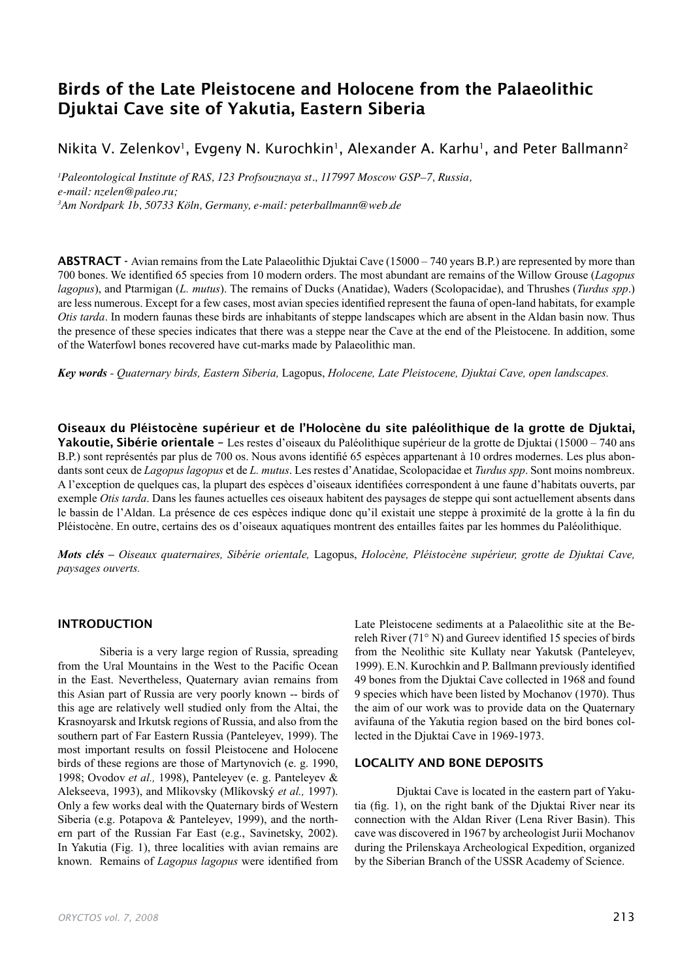# Birds of the Late Pleistocene and Holocene from the Palaeolithic Djuktai Cave site of Yakutia, Eastern Siberia

Nikita V. Zelenkov<sup>1</sup>, Evgeny N. Kurochkin<sup>1</sup>, Alexander A. Karhu<sup>1</sup>, and Peter Ballmann<sup>2</sup>

*1 Paleontological Institute of RAS, 123 Profsouznaya st., 117997 Moscow GSP–7, Russia, e-mail: nzelen@paleo.ru; 3 Am Nordpark 1b, 50733 Köln, Germany, e-mail: peterballmann@web.de*

ABSTRACT - Avian remains from the Late Palaeolithic Djuktai Cave (15000 – 740 years B.P.) are represented by more than 700 bones. We identified 65 species from 10 modern orders. The most abundant are remains of the Willow Grouse (*Lagopus lagopus*), and Ptarmigan (*L. mutus*). The remains of Ducks (Anatidae), Waders (Scolopacidae), and Thrushes (*Turdus spp*.) are less numerous. Except for a few cases, most avian species identified represent the fauna of open-land habitats, for example *Otis tarda*. In modern faunas these birds are inhabitants of steppe landscapes which are absent in the Aldan basin now. Thus the presence of these species indicates that there was a steppe near the Cave at the end of the Pleistocene. In addition, some of the Waterfowl bones recovered have cut-marks made by Palaeolithic man.

*Key words - Quaternary birds, Eastern Siberia,* Lagopus, *Holocene, Late Pleistocene, Djuktai Cave, open landscapes.*

Oiseaux du Pléistocène supérieur et de l'Holocène du site paléolithique de la grotte de Djuktai, Yakoutie, Sibérie orientale - Les restes d'oiseaux du Paléolithique supérieur de la grotte de Djuktai (15000 – 740 ans B.P.) sont représentés par plus de 700 os. Nous avons identifié 65 espèces appartenant à 10 ordres modernes. Les plus abondants sont ceux de *Lagopus lagopus* et de *L. mutus*. Les restes d'Anatidae, Scolopacidae et *Turdus spp*. Sont moins nombreux. A l'exception de quelques cas, la plupart des espèces d'oiseaux identifiées correspondent à une faune d'habitats ouverts, par exemple *Otis tarda*. Dans les faunes actuelles ces oiseaux habitent des paysages de steppe qui sont actuellement absents dans le bassin de l'Aldan. La présence de ces espèces indique donc qu'il existait une steppe à proximité de la grotte à la fin du Pléistocène. En outre, certains des os d'oiseaux aquatiques montrent des entailles faites par les hommes du Paléolithique.

*Mots clés – Oiseaux quaternaires, Sibérie orientale,* Lagopus, *Holocène, Pléistocène supérieur, grotte de Djuktai Cave, paysages ouverts.*

## INTRODUCTION

Siberia is a very large region of Russia, spreading from the Ural Mountains in the West to the Pacific Ocean in the East. Nevertheless, Quaternary avian remains from this Asian part of Russia are very poorly known -- birds of this age are relatively well studied only from the Altai, the Krasnoyarsk and Irkutsk regions of Russia, and also from the southern part of Far Eastern Russia (Panteleyev, 1999). The most important results on fossil Pleistocene and Holocene birds of these regions are those of Martynovich (e. g. 1990, 1998; Ovodov *et al.,* 1998), Panteleyev (e. g. Panteleyev & Alekseeva, 1993), and Mlikovsky (Mlíkovský *et al.,* 1997). Only a few works deal with the Quaternary birds of Western Siberia (e.g. Potapova & Panteleyev, 1999), and the northern part of the Russian Far East (e.g., Savinetsky, 2002). In Yakutia (Fig. 1), three localities with avian remains are known. Remains of *Lagopus lagopus* were identified from

Late Pleistocene sediments at a Palaeolithic site at the Bereleh River (71° N) and Gureev identified 15 species of birds from the Neolithic site Kullaty near Yakutsk (Panteleyev, 1999). E.N. Kurochkin and P. Ballmann previously identified 49 bones from the Djuktai Cave collected in 1968 and found 9 species which have been listed by Mochanov (1970). Thus the aim of our work was to provide data on the Quaternary avifauna of the Yakutia region based on the bird bones collected in the Djuktai Cave in 1969-1973.

## LOCALITY AND BONE DEPOSITS

Djuktai Cave is located in the eastern part of Yakutia (fig. 1), on the right bank of the Djuktai River near its connection with the Aldan River (Lena River Basin). This cave was discovered in 1967 by archeologist Jurii Mochanov during the Prilenskaya Archeological Expedition, organized by the Siberian Branch of the USSR Academy of Science.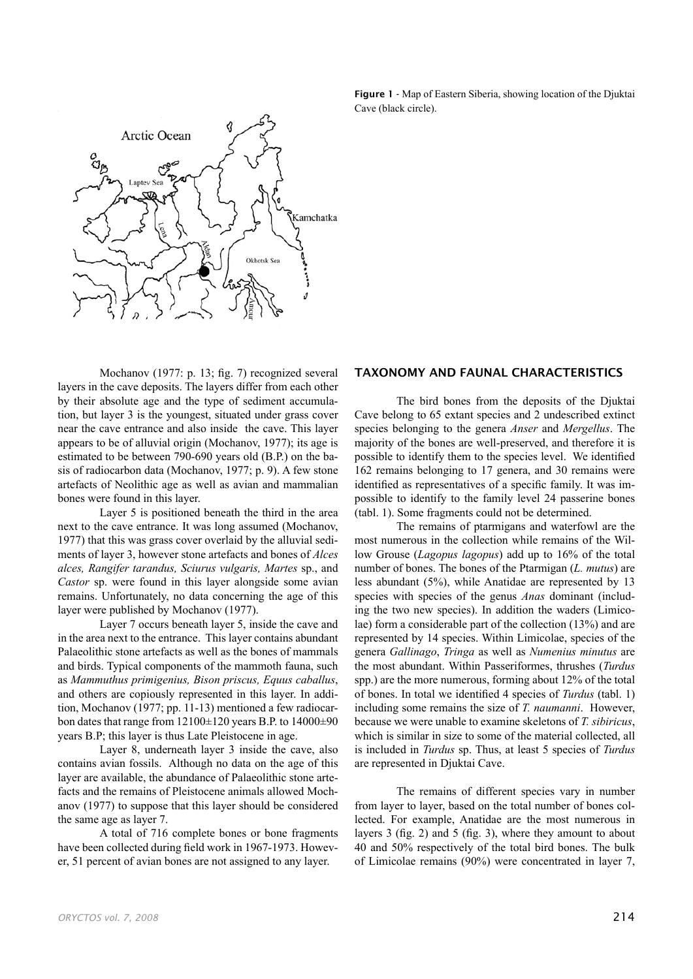

Figure 1 - Map of Eastern Siberia, showing location of the Djuktai Cave (black circle).

Mochanov (1977: p. 13; fig. 7) recognized several layers in the cave deposits. The layers differ from each other by their absolute age and the type of sediment accumulation, but layer 3 is the youngest, situated under grass cover near the cave entrance and also inside the cave. This layer appears to be of alluvial origin (Mochanov, 1977); its age is estimated to be between 790-690 years old (B.P.) on the basis of radiocarbon data (Mochanov, 1977; p. 9). A few stone artefacts of Neolithic age as well as avian and mammalian bones were found in this layer.

Layer 5 is positioned beneath the third in the area next to the cave entrance. It was long assumed (Mochanov, 1977) that this was grass cover overlaid by the alluvial sediments of layer 3, however stone artefacts and bones of *Alces alces, Rangifer tarandus, Sciurus vulgaris, Martes* sp., and *Castor* sp. were found in this layer alongside some avian remains. Unfortunately, no data concerning the age of this layer were published by Mochanov (1977).

Layer 7 occurs beneath layer 5, inside the cave and in the area next to the entrance. This layer contains abundant Palaeolithic stone artefacts as well as the bones of mammals and birds. Typical components of the mammoth fauna, such as *Mammuthus primigenius, Bison priscus, Equus caballus*, and others are copiously represented in this layer. In addition, Mochanov (1977; pp. 11-13) mentioned a few radiocarbon dates that range from  $12100\pm120$  years B.P. to  $14000\pm90$ years B.P; this layer is thus Late Pleistocene in age.

Layer 8, underneath layer 3 inside the cave, also contains avian fossils. Although no data on the age of this layer are available, the abundance of Palaeolithic stone artefacts and the remains of Pleistocene animals allowed Mochanov (1977) to suppose that this layer should be considered the same age as layer 7.

A total of 716 complete bones or bone fragments have been collected during field work in 1967-1973. However, 51 percent of avian bones are not assigned to any layer.

#### TAXONOMY AND FAUNAL CHARACTERISTICS

The bird bones from the deposits of the Djuktai Cave belong to 65 extant species and 2 undescribed extinct species belonging to the genera *Anser* and *Mergellus*. The majority of the bones are well-preserved, and therefore it is possible to identify them to the species level. We identified 162 remains belonging to 17 genera, and 30 remains were identified as representatives of a specific family. It was impossible to identify to the family level 24 passerine bones (tabl. 1). Some fragments could not be determined.

The remains of ptarmigans and waterfowl are the most numerous in the collection while remains of the Willow Grouse (*Lagopus lagopus*) add up to 16% of the total number of bones. The bones of the Ptarmigan (*L. mutus*) are less abundant (5%), while Anatidae are represented by 13 species with species of the genus *Anas* dominant (including the two new species). In addition the waders (Limicolae) form a considerable part of the collection (13%) and are represented by 14 species. Within Limicolae, species of the genera *Gallinago*, *Tringa* as well as *Numenius minutus* are the most abundant. Within Passeriformes, thrushes (*Turdus* spp.) are the more numerous, forming about 12% of the total of bones. In total we identified 4 species of *Turdus* (tabl. 1) including some remains the size of *T. naumanni*. However, because we were unable to examine skeletons of *T. sibiricus*, which is similar in size to some of the material collected, all is included in *Turdus* sp. Thus, at least 5 species of *Turdus* are represented in Djuktai Cave.

The remains of different species vary in number from layer to layer, based on the total number of bones collected. For example, Anatidae are the most numerous in layers 3 (fig. 2) and 5 (fig. 3), where they amount to about 40 and 50% respectively of the total bird bones. The bulk of Limicolae remains (90%) were concentrated in layer 7,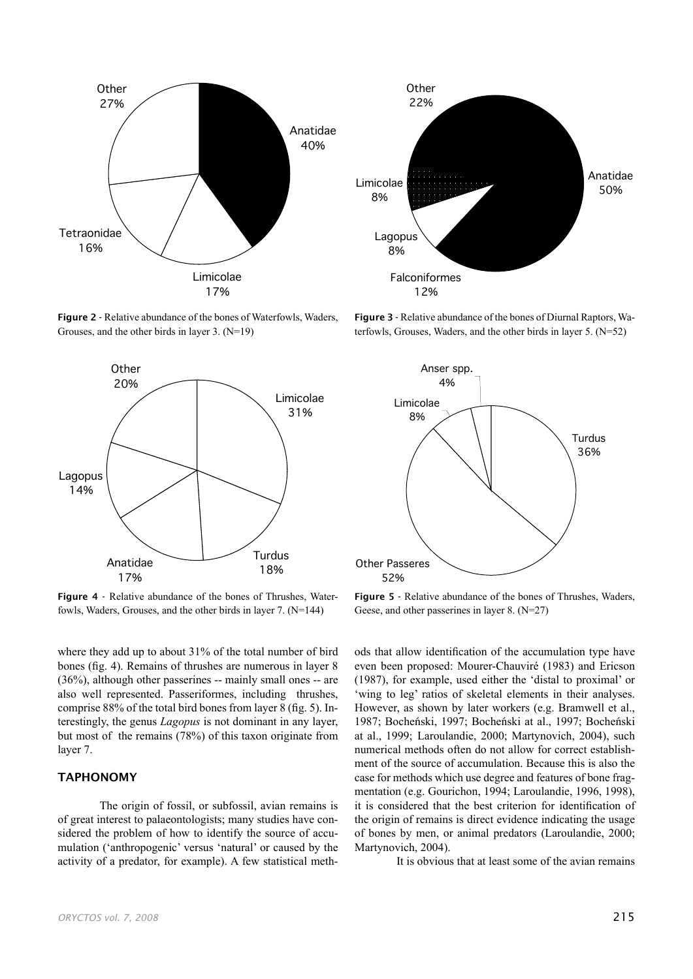

Figure 2 - Relative abundance of the bones of Waterfowls, Waders, Grouses, and the other birds in layer 3. (N=19)



Figure 4 - Relative abundance of the bones of Thrushes, Waterfowls, Waders, Grouses, and the other birds in layer 7. (N=144)

where they add up to about 31% of the total number of bird bones (fig. 4). Remains of thrushes are numerous in layer 8 (36%), although other passerines -- mainly small ones -- are also well represented. Passeriformes, including thrushes, comprise 88% of the total bird bones from layer 8 (fig. 5). Interestingly, the genus *Lagopus* is not dominant in any layer, but most of the remains (78%) of this taxon originate from layer 7.

## TAPHONOMY

The origin of fossil, or subfossil, avian remains is of great interest to palaeontologists; many studies have considered the problem of how to identify the source of accumulation ('anthropogenic' versus 'natural' or caused by the activity of a predator, for example). A few statistical meth-



Figure 3 - Relative abundance of the bones of Diurnal Raptors, Waterfowls, Grouses, Waders, and the other birds in layer 5. (N=52)



Figure 5 - Relative abundance of the bones of Thrushes, Waders, Geese, and other passerines in layer 8. (N=27)

ods that allow identification of the accumulation type have even been proposed: Mourer-Chauviré (1983) and Ericson (1987), for example, used either the 'distal to proximal' or 'wing to leg' ratios of skeletal elements in their analyses. However, as shown by later workers (e.g. Bramwell et al., 1987; Bocheński, 1997; Bocheński at al., 1997; Bocheński at al., 1999; Laroulandie, 2000; Martynovich, 2004), such numerical methods often do not allow for correct establishment of the source of accumulation. Because this is also the case for methods which use degree and features of bone fragmentation (e.g. Gourichon, 1994; Laroulandie, 1996, 1998), it is considered that the best criterion for identification of the origin of remains is direct evidence indicating the usage of bones by men, or animal predators (Laroulandie, 2000; Martynovich, 2004).

It is obvious that at least some of the avian remains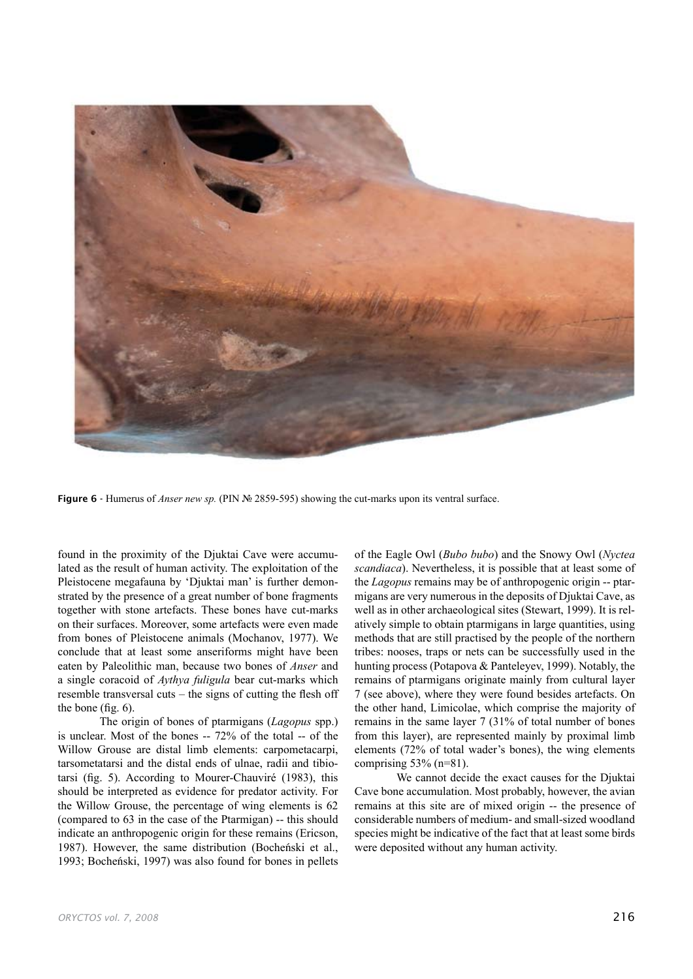

Figure 6 - Humerus of *Anser new sp.* (PIN № 2859-595) showing the cut-marks upon its ventral surface.

found in the proximity of the Djuktai Cave were accumulated as the result of human activity. The exploitation of the Pleistocene megafauna by 'Djuktai man' is further demonstrated by the presence of a great number of bone fragments together with stone artefacts. These bones have cut-marks on their surfaces. Moreover, some artefacts were even made from bones of Pleistocene animals (Mochanov, 1977). We conclude that at least some anseriforms might have been eaten by Paleolithic man, because two bones of *Anser* and a single coracoid of *Aythya fuligula* bear cut-marks which resemble transversal cuts – the signs of cutting the flesh off the bone (fig. 6).

The origin of bones of ptarmigans (*Lagopus* spp.) is unclear. Most of the bones -- 72% of the total -- of the Willow Grouse are distal limb elements: carpometacarpi, tarsometatarsi and the distal ends of ulnae, radii and tibiotarsi (fig. 5). According to Mourer-Chauviré (1983), this should be interpreted as evidence for predator activity. For the Willow Grouse, the percentage of wing elements is 62 (compared to 63 in the case of the Ptarmigan) -- this should indicate an anthropogenic origin for these remains (Ericson, 1987). However, the same distribution (Bocheński et al., 1993; Bocheński, 1997) was also found for bones in pellets of the Eagle Owl (*Bubo bubo*) and the Snowy Owl (*Nyctea scandiaca*). Nevertheless, it is possible that at least some of the *Lagopus* remains may be of anthropogenic origin -- ptarmigans are very numerous in the deposits of Djuktai Cave, as well as in other archaeological sites (Stewart, 1999). It is relatively simple to obtain ptarmigans in large quantities, using methods that are still practised by the people of the northern tribes: nooses, traps or nets can be successfully used in the hunting process (Potapova & Panteleyev, 1999). Notably, the remains of ptarmigans originate mainly from cultural layer 7 (see above), where they were found besides artefacts. On the other hand, Limicolae, which comprise the majority of remains in the same layer 7 (31% of total number of bones from this layer), are represented mainly by proximal limb elements (72% of total wader's bones), the wing elements comprising  $53\%$  (n=81).

We cannot decide the exact causes for the Djuktai Cave bone accumulation. Most probably, however, the avian remains at this site are of mixed origin -- the presence of considerable numbers of medium- and small-sized woodland species might be indicative of the fact that at least some birds were deposited without any human activity.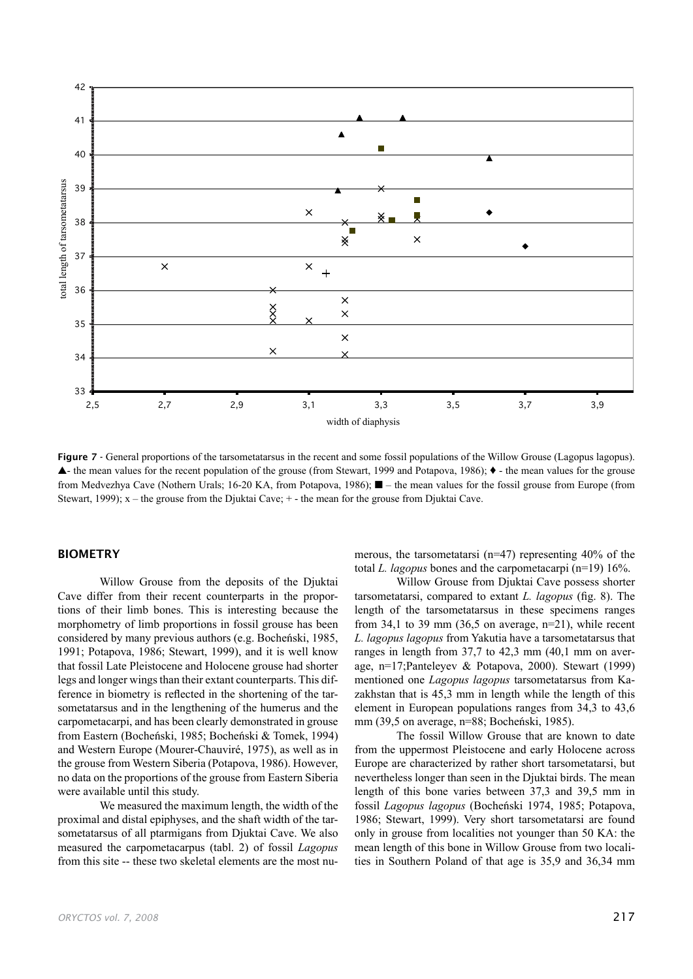

Figure 7 - General proportions of the tarsometatarsus in the recent and some fossil populations of the Willow Grouse (Lagopus lagopus). ▲- the mean values for the recent population of the grouse (from Stewart, 1999 and Potapova, 1986); ♦ - the mean values for the grouse from Medvezhya Cave (Nothern Urals; 16-20 KA, from Potapova, 1986); ■ – the mean values for the fossil grouse from Europe (from Stewart, 1999); x – the grouse from the Djuktai Cave; + - the mean for the grouse from Djuktai Cave.

# BIOMETRY

Willow Grouse from the deposits of the Djuktai Cave differ from their recent counterparts in the proportions of their limb bones. This is interesting because the morphometry of limb proportions in fossil grouse has been considered by many previous authors (e.g. Bocheński, 1985, 1991; Potapova, 1986; Stewart, 1999), and it is well know that fossil Late Pleistocene and Holocene grouse had shorter legs and longer wings than their extant counterparts. This difference in biometry is reflected in the shortening of the tarsometatarsus and in the lengthening of the humerus and the carpometacarpi, and has been clearly demonstrated in grouse from Eastern (Bocheński, 1985; Bocheński & Tomek, 1994) and Western Europe (Mourer-Chauviré, 1975), as well as in the grouse from Western Siberia (Potapova, 1986). However, no data on the proportions of the grouse from Eastern Siberia were available until this study.

We measured the maximum length, the width of the proximal and distal epiphyses, and the shaft width of the tarsometatarsus of all ptarmigans from Djuktai Cave. We also measured the carpometacarpus (tabl. 2) of fossil *Lagopus* from this site -- these two skeletal elements are the most numerous, the tarsometatarsi (n=47) representing 40% of the total *L. lagopus* bones and the carpometacarpi (n=19) 16%.

Willow Grouse from Djuktai Cave possess shorter tarsometatarsi, compared to extant *L. lagopus* (fig. 8). The length of the tarsometatarsus in these specimens ranges from 34,1 to 39 mm (36,5 on average,  $n=21$ ), while recent *L. lagopus lagopus* from Yakutia have a tarsometatarsus that ranges in length from 37,7 to 42,3 mm (40,1 mm on average, n=17;Panteleyev & Potapova, 2000). Stewart (1999) mentioned one *Lagopus lagopus* tarsometatarsus from Kazakhstan that is 45,3 mm in length while the length of this element in European populations ranges from 34,3 to 43,6 mm (39,5 on average, n=88; Bocheński, 1985).

The fossil Willow Grouse that are known to date from the uppermost Pleistocene and early Holocene across Europe are characterized by rather short tarsometatarsi, but nevertheless longer than seen in the Djuktai birds. The mean length of this bone varies between 37,3 and 39,5 mm in fossil *Lagopus lagopus* (Bocheński 1974, 1985; Potapova, 1986; Stewart, 1999). Very short tarsometatarsi are found only in grouse from localities not younger than 50 KA: the mean length of this bone in Willow Grouse from two localities in Southern Poland of that age is 35,9 and 36,34 mm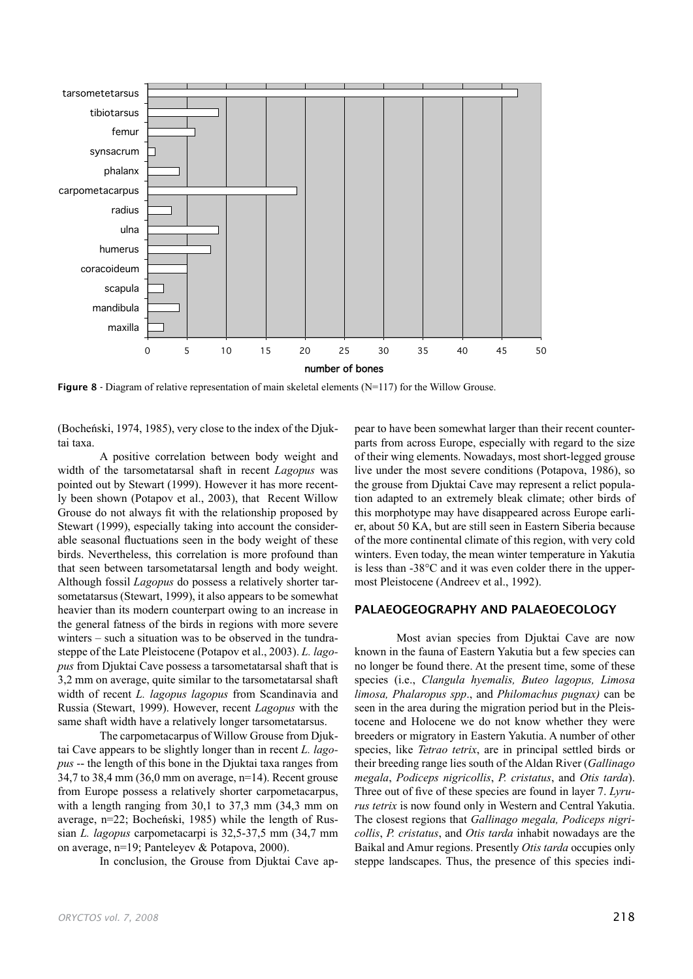

**Figure 8** - Diagram of relative representation of main skeletal elements ( $N=117$ ) for the Willow Grouse.

(Bocheński, 1974, 1985), very close to the index of the Djuktai taxa.

A positive correlation between body weight and width of the tarsometatarsal shaft in recent *Lagopus* was pointed out by Stewart (1999). However it has more recently been shown (Potapov et al., 2003), that Recent Willow Grouse do not always fit with the relationship proposed by Stewart (1999), especially taking into account the considerable seasonal fluctuations seen in the body weight of these birds. Nevertheless, this correlation is more profound than that seen between tarsometatarsal length and body weight. Although fossil *Lagopus* do possess a relatively shorter tarsometatarsus (Stewart, 1999), it also appears to be somewhat heavier than its modern counterpart owing to an increase in the general fatness of the birds in regions with more severe winters – such a situation was to be observed in the tundrasteppe of the Late Pleistocene (Potapov et al., 2003). *L. lagopus* from Djuktai Cave possess a tarsometatarsal shaft that is 3,2 mm on average, quite similar to the tarsometatarsal shaft width of recent *L. lagopus lagopus* from Scandinavia and Russia (Stewart, 1999). However, recent *Lagopus* with the same shaft width have a relatively longer tarsometatarsus.

The carpometacarpus of Willow Grouse from Djuktai Cave appears to be slightly longer than in recent *L. lagopus* -- the length of this bone in the Djuktai taxa ranges from 34,7 to 38,4 mm (36,0 mm on average, n=14). Recent grouse from Europe possess a relatively shorter carpometacarpus, with a length ranging from 30,1 to 37,3 mm (34,3 mm on average, n=22; Bocheński, 1985) while the length of Russian *L. lagopus* carpometacarpi is 32,5-37,5 mm (34,7 mm on average, n=19; Panteleyev & Potapova, 2000).

In conclusion, the Grouse from Djuktai Cave ap-

pear to have been somewhat larger than their recent counterparts from across Europe, especially with regard to the size of their wing elements. Nowadays, most short-legged grouse live under the most severe conditions (Potapova, 1986), so the grouse from Djuktai Cave may represent a relict population adapted to an extremely bleak climate; other birds of this morphotype may have disappeared across Europe earlier, about 50 KA, but are still seen in Eastern Siberia because of the more continental climate of this region, with very cold winters. Even today, the mean winter temperature in Yakutia is less than  $-38^{\circ}$ C and it was even colder there in the uppermost Pleistocene (Andreev et al., 1992).

#### PALAEOGEOGRAPHY AND PALAEOECOLOGY

Most avian species from Djuktai Cave are now known in the fauna of Eastern Yakutia but a few species can no longer be found there. At the present time, some of these species (i.e., *Clangula hyemalis, Buteo lagopus, Limosa limosa, Phalaropus spp*., and *Philomachus pugnax)* can be seen in the area during the migration period but in the Pleistocene and Holocene we do not know whether they were breeders or migratory in Eastern Yakutia. A number of other species, like *Tetrao tetrix*, are in principal settled birds or their breeding range lies south of the Aldan River (*Gallinago megala*, *Podiceps nigricollis*, *P. cristatus*, and *Otis tarda*). Three out of five of these species are found in layer 7. *Lyrurus tetrix* is now found only in Western and Central Yakutia. The closest regions that *Gallinago megala, Podiceps nigricollis*, *P. cristatus*, and *Otis tarda* inhabit nowadays are the Baikal and Amur regions. Presently *Otis tarda* occupies only steppe landscapes. Thus, the presence of this species indi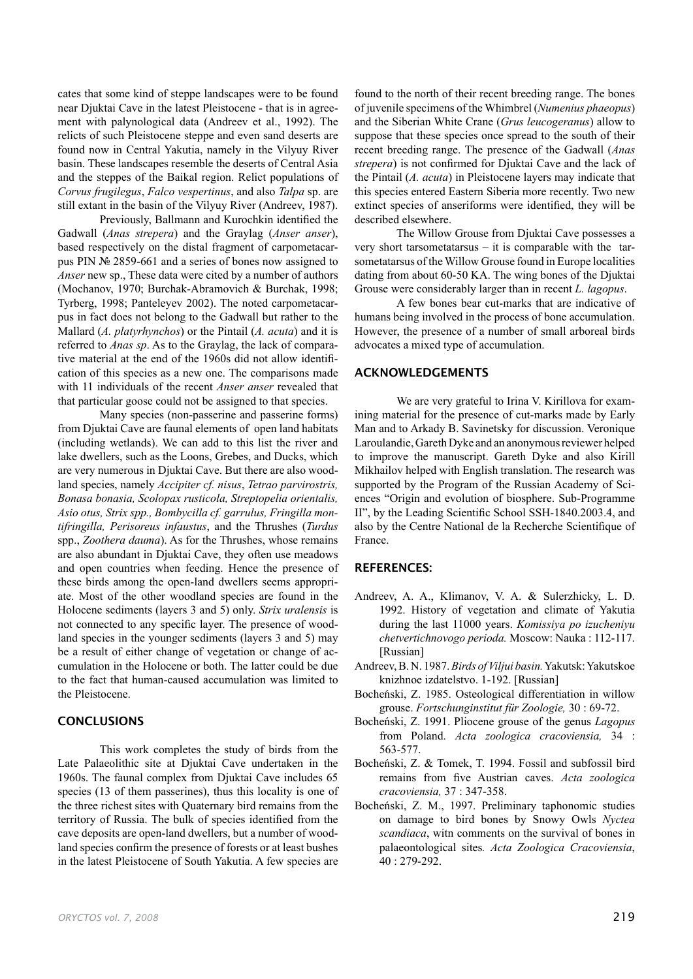cates that some kind of steppe landscapes were to be found near Djuktai Cave in the latest Pleistocene - that is in agreement with palynological data (Andreev et al., 1992). The relicts of such Pleistocene steppe and even sand deserts are found now in Central Yakutia, namely in the Vilyuy River basin. These landscapes resemble the deserts of Central Asia and the steppes of the Baikal region. Relict populations of *Corvus frugilegus*, *Falco vespertinus*, and also *Talpa* sp. are still extant in the basin of the Vilyuy River (Andreev, 1987).

Previously, Ballmann and Kurochkin identified the Gadwall (*Anas strepera*) and the Graylag (*Anser anser*), based respectively on the distal fragment of carpometacarpus PIN № 2859-661 and a series of bones now assigned to *Anser* new sp., These data were cited by a number of authors (Mochanov, 1970; Burchak-Abramovich & Burchak, 1998; Tyrberg, 1998; Panteleyev 2002). The noted carpometacarpus in fact does not belong to the Gadwall but rather to the Mallard (*A. platyrhynchos*) or the Pintail (*A. acuta*) and it is referred to *Anas sp*. As to the Graylag, the lack of comparative material at the end of the 1960s did not allow identification of this species as a new one. The comparisons made with 11 individuals of the recent *Anser anser* revealed that that particular goose could not be assigned to that species.

Many species (non-passerine and passerine forms) from Djuktai Cave are faunal elements of open land habitats (including wetlands). We can add to this list the river and lake dwellers, such as the Loons, Grebes, and Ducks, which are very numerous in Djuktai Cave. But there are also woodland species, namely *Accipiter cf. nisus*, *Tetrao parvirostris, Bonasa bonasia, Scolopax rusticola, Streptopelia orientalis, Asio otus, Strix spp., Bombycilla cf. garrulus, Fringilla montifringilla, Perisoreus infaustus*, and the Thrushes (*Turdus* spp., *Zoothera dauma*). As for the Thrushes, whose remains are also abundant in Djuktai Cave, they often use meadows and open countries when feeding. Hence the presence of these birds among the open-land dwellers seems appropriate. Most of the other woodland species are found in the Holocene sediments (layers 3 and 5) only. *Strix uralensis* is not connected to any specific layer. The presence of woodland species in the younger sediments (layers 3 and 5) may be a result of either change of vegetation or change of accumulation in the Holocene or both. The latter could be due to the fact that human-caused accumulation was limited to the Pleistocene.

#### **CONCLUSIONS**

This work completes the study of birds from the Late Palaeolithic site at Djuktai Cave undertaken in the 1960s. The faunal complex from Djuktai Cave includes 65 species (13 of them passerines), thus this locality is one of the three richest sites with Quaternary bird remains from the territory of Russia. The bulk of species identified from the cave deposits are open-land dwellers, but a number of woodland species confirm the presence of forests or at least bushes in the latest Pleistocene of South Yakutia. A few species are

found to the north of their recent breeding range. The bones of juvenile specimens of the Whimbrel (*Numenius phaeopus*) and the Siberian White Crane (*Grus leucogeranus*) allow to suppose that these species once spread to the south of their recent breeding range. The presence of the Gadwall (*Anas strepera*) is not confirmed for Djuktai Cave and the lack of the Pintail (*A. acuta*) in Pleistocene layers may indicate that this species entered Eastern Siberia more recently. Two new extinct species of anseriforms were identified, they will be described elsewhere.

The Willow Grouse from Djuktai Cave possesses a very short tarsometatarsus – it is comparable with the tarsometatarsus of the Willow Grouse found in Europe localities dating from about 60-50 KA. The wing bones of the Djuktai Grouse were considerably larger than in recent *L. lagopus*.

A few bones bear cut-marks that are indicative of humans being involved in the process of bone accumulation. However, the presence of a number of small arboreal birds advocates a mixed type of accumulation.

# ACKNOWLEDGEMENTS

We are very grateful to Irina V. Kirillova for examining material for the presence of cut-marks made by Early Man and to Arkady B. Savinetsky for discussion. Veronique Laroulandie, Gareth Dyke and an anonymous reviewer helped to improve the manuscript. Gareth Dyke and also Kirill Mikhailov helped with English translation. The research was supported by the Program of the Russian Academy of Sciences "Origin and evolution of biosphere. Sub-Programme II", by the Leading Scientific School SSH-1840.2003.4, and also by the Centre National de la Recherche Scientifique of France.

# REFERENCES:

- Andreev, A. A., Klimanov, V. A. & Sulerzhicky, L. D. 1992. History of vegetation and climate of Yakutia during the last 11000 years. *Komissiya po izucheniyu chetvertichnovogo perioda.* Moscow: Nauka : 112-117. [Russian]
- Andreev, B. N. 1987. *Birds of Viljui basin.* Yakutsk: Yakutskoe knizhnoe izdatelstvo. 1-192. [Russian]
- Bocheński, Z. 1985. Osteological differentiation in willow grouse. *Fortschunginstitut für Zoologie,* 30 : 69-72.
- Bocheński, Z. 1991. Pliocene grouse of the genus *Lagopus* from Poland. *Acta zoologica cracoviensia,* 34 : 563-577.
- Bocheński, Z. & Tomek, T. 1994. Fossil and subfossil bird remains from five Austrian caves. *Acta zoologica cracoviensia,* 37 : 347-358.
- Bocheński, Z. M., 1997. Preliminary taphonomic studies on damage to bird bones by Snowy Owls *Nyctea scandiaca*, witn comments on the survival of bones in palaeontological sites*. Acta Zoologica Cracoviensia*, 40 : 279-292.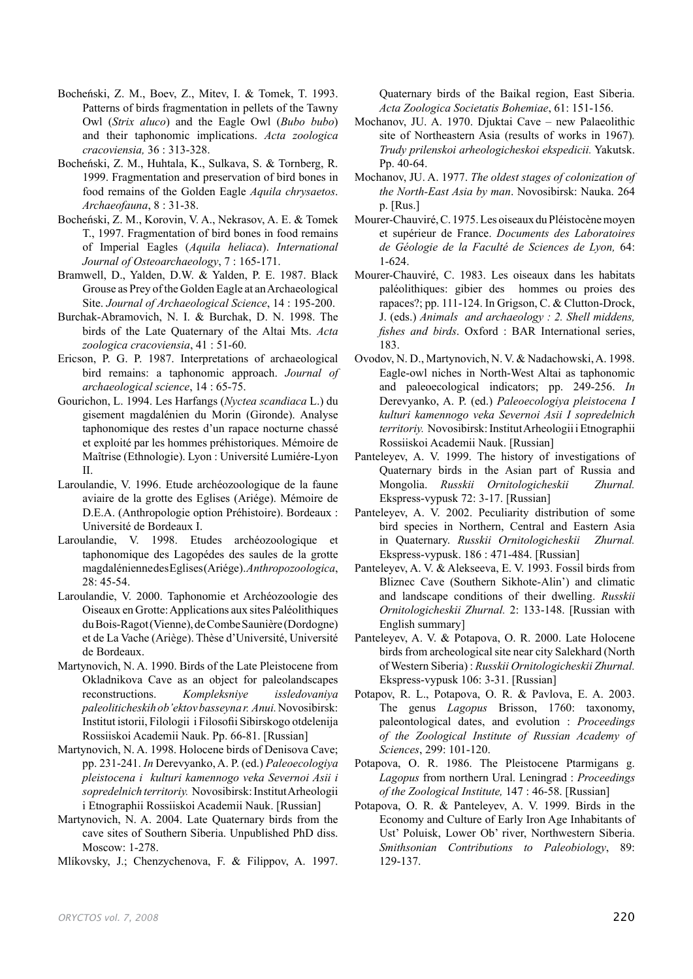- Bocheński, Z. M., Boev, Z., Mitev, I. & Tomek, T. 1993. Patterns of birds fragmentation in pellets of the Tawny Owl (*Strix aluco*) and the Eagle Owl (*Bubo bubo*) and their taphonomic implications. *Acta zoologica cracoviensia,* 36 : 313-328.
- Bocheński, Z. M., Huhtala, K., Sulkava, S. & Tornberg, R. 1999. Fragmentation and preservation of bird bones in food remains of the Golden Eagle *Aquila chrysaetos*. *Archaeofauna*, 8 : 31-38.
- Bocheński, Z. M., Korovin, V. A., Nekrasov, A. E. & Tomek T., 1997. Fragmentation of bird bones in food remains of Imperial Eagles (*Aquila heliaca*). *International Journal of Osteoarchaeology*, 7 : 165-171.
- Bramwell, D., Yalden, D.W. & Yalden, P. E. 1987. Black Grouse as Prey of the Golden Eagle at an Archaeological Site. *Journal of Archaeological Science*, 14 : 195-200.
- Burchak-Abramovich, N. I. & Burchak, D. N. 1998. The birds of the Late Quaternary of the Altai Mts. *Acta zoologica cracoviensia*, 41 : 51-60.
- Ericson, P. G. P. 1987. Interpretations of archaeological bird remains: a taphonomic approach. *Journal of archaeological science*, 14 : 65-75.
- Gourichon, L. 1994. Les Harfangs (*Nyctea scandiaca* L.) du gisement magdalénien du Morin (Gironde). Analyse taphonomique des restes d'un rapace nocturne chassé et exploité par les hommes préhistoriques. Mémoire de Maîtrise (Ethnologie). Lyon : Université Lumiére-Lyon II.
- Laroulandie, V. 1996. Etude archéozoologique de la faune aviaire de la grotte des Eglises (Ariége). Mémoire de D.E.A. (Anthropologie option Préhistoire). Bordeaux : Université de Bordeaux I.
- Laroulandie, V. 1998. Etudes archéozoologique et taphonomique des Lagopédes des saules de la grotte magdalénienne des Eglises (Ariége). *Anthropozoologica*, 28: 45-54.
- Laroulandie, V. 2000. Taphonomie et Archéozoologie des Oiseaux en Grotte: Applications aux sites Paléolithiques du Bois-Ragot (Vienne), de Combe Saunière (Dordogne) et de La Vache (Ariège). Thèse d'Université, Université de Bordeaux.
- Martynovich, N. A. 1990. Birds of the Late Pleistocene from Okladnikova Cave as an object for paleolandscapes reconstructions. *Kompleksniye issledovaniya paleoliticheskih ob'ektov basseyna r. Anui.* Novosibirsk: Institut istorii, Filologii i Filosofii Sibirskogo otdelenija Rossiiskoi Academii Nauk. Pp. 66-81. [Russian]
- Martynovich, N. A. 1998. Holocene birds of Denisova Cave; pp. 231-241. *In* Derevyanko, A. P. (ed.) *Paleoecologiya pleistocena i kulturi kamennogo veka Severnoi Asii i sopredelnich territoriy.* Novosibirsk: Institut Arheologii i Etnographii Rossiiskoi Academii Nauk. [Russian]
- Martynovich, N. A. 2004. Late Quaternary birds from the cave sites of Southern Siberia. Unpublished PhD diss. Moscow: 1-278.
- Mlíkovsky, J.; Chenzychenova, F. & Filippov, A. 1997.

Quaternary birds of the Baikal region, East Siberia. *Acta Zoologica Societatis Bohemiae*, 61: 151-156.

- Mochanov, JU. A. 1970. Djuktai Cave new Palaeolithic site of Northeastern Asia (results of works in 1967)*. Trudy prilenskoi arheologicheskoi ekspedicii.* Yakutsk. Pp. 40-64.
- Mochanov, JU. A. 1977. *The oldest stages of colonization of the North-East Asia by man*. Novosibirsk: Nauka. 264 p. [Rus.]
- Mourer-Chauviré, C. 1975. Les oiseaux du Pléistocène moyen et supérieur de France. *Documents des Laboratoires de Géologie de la Faculté de Sciences de Lyon,* 64: 1-624.
- Mourer-Chauviré, C. 1983. Les oiseaux dans les habitats paléolithiques: gibier des hommes ou proies des rapaces?; pp. 111-124. In Grigson, C. & Clutton-Drock, J. (eds.) *Animals and archaeology : 2. Shell middens, fishes and birds*. Oxford : BAR International series, 183.
- Ovodov, N. D., Martynovich, N. V. & Nadachowski, A. 1998. Eagle-owl niches in North-West Altai as taphonomic and paleoecological indicators; pp. 249-256. *In*  Derevyanko, A. P. (ed.) *Paleoecologiya pleistocena I kulturi kamennogo veka Severnoi Asii I sopredelnich territoriy.* Novosibirsk: Institut Arheologii i Etnographii Rossiiskoi Academii Nauk. [Russian]
- Panteleyev, A. V. 1999. The history of investigations of Quaternary birds in the Asian part of Russia and Mongolia. *Russkii Ornitologicheskii Zhurnal.*  Ekspress-vypusk 72: 3-17. [Russian]
- Panteleyev, A. V. 2002. Peculiarity distribution of some bird species in Northern, Central and Eastern Asia in Quaternary. *Russkii Ornitologicheskii Zhurnal.*  Ekspress-vypusk. 186 : 471-484. [Russian]
- Panteleyev, A. V. & Alekseeva, E. V. 1993. Fossil birds from Bliznec Cave (Southern Sikhote-Alin') and climatic and landscape conditions of their dwelling. *Russkii Ornitologicheskii Zhurnal.* 2: 133-148. [Russian with English summary]
- Panteleyev, A. V. & Potapova, O. R. 2000. Late Holocene birds from archeological site near city Salekhard (North of Western Siberia) : *Russkii Ornitologicheskii Zhurnal.*  Ekspress-vypusk 106: 3-31. [Russian]
- Potapov, R. L., Potapova, O. R. & Pavlova, E. A. 2003. The genus *Lagopus* Brisson, 1760: taxonomy, paleontological dates, and evolution : *Proceedings of the Zoological Institute of Russian Academy of Sciences*, 299: 101-120.
- Potapova, O. R. 1986. The Pleistocene Ptarmigans g. *Lagopus* from northern Ural. Leningrad : *Proceedings of the Zoological Institute,* 147 : 46-58. [Russian]
- Potapova, O. R. & Panteleyev, A. V. 1999. Birds in the Economy and Culture of Early Iron Age Inhabitants of Ust' Poluisk, Lower Ob' river, Northwestern Siberia. *Smithsonian Contributions to Paleobiology*, 89: 129-137.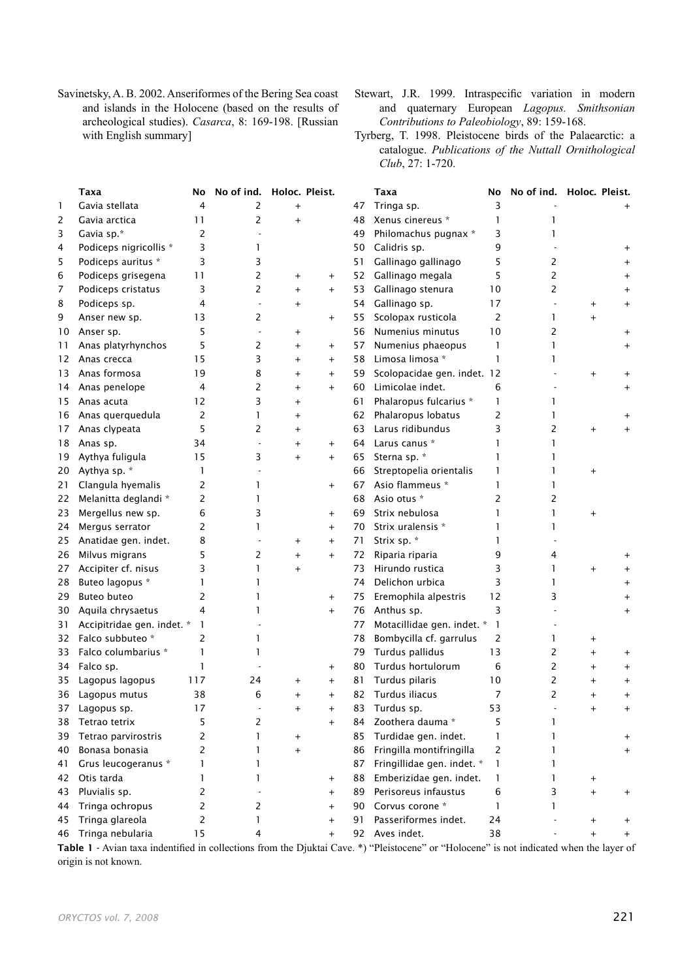- Savinetsky, A. B. 2002. Anseriformes of the Bering Sea coast and islands in the Holocene (based on the results of archeological studies). *Casarca*, 8: 169-198. [Russian with English summary]
- Stewart, J.R. 1999. Intraspecific variation in modern and quaternary European *Lagopus. Smithsonian Contributions to Paleobiology*, 89: 159-168.
- Tyrberg, T. 1998. Pleistocene birds of the Palaearctic: a catalogue. *Publications of the Nuttall Ornithological Club*, 27: 1-720.

|    | Taxa                       | No  | No of ind. Holoc. Pleist. |           |                     |    | Taxa                                 | No             | No of ind. Holoc. Pleist. |                |                |
|----|----------------------------|-----|---------------------------|-----------|---------------------|----|--------------------------------------|----------------|---------------------------|----------------|----------------|
| 1  | Gavia stellata             | 4   | 2                         | $\ddot{}$ |                     | 47 | Tringa sp.                           | 3              |                           |                |                |
| 2  | Gavia arctica              | 11  | 2                         | $\ddot{}$ |                     | 48 | Xenus cinereus *                     | $\mathbf{1}$   | 1                         |                |                |
| 3  | Gavia sp.*                 | 2   |                           |           |                     | 49 | Philomachus pugnax *                 | 3              | ı                         |                |                |
| 4  | Podiceps nigricollis *     | 3   | 1                         |           |                     | 50 | Calidris sp.                         | 9              |                           |                |                |
| 5  | Podiceps auritus *         | 3   | 3                         |           |                     | 51 | Gallinago gallinago                  | 5              | 2                         |                |                |
| 6  | Podiceps grisegena         | 11  | 2                         | $\ddot{}$ | $\ddot{}$           | 52 | Gallinago megala                     | 5              | 2                         |                |                |
| 7  | Podiceps cristatus         | 3   | 2                         | $\ddot{}$ | $^{+}$              | 53 | Gallinago stenura                    | 10             | 2                         |                |                |
| 8  | Podiceps sp.               | 4   |                           | $\ddot{}$ |                     | 54 | Gallinago sp.                        | 17             |                           | $^{+}$         | $\pmb{+}$      |
| 9  | Anser new sp.              | 13  | 2                         |           | $\pmb{+}$           | 55 | Scolopax rusticola                   | 2              | 1                         | $\ddot{}$      |                |
| 10 | Anser sp.                  | 5   |                           | $\pmb{+}$ |                     | 56 | Numenius minutus                     | 10             | 2                         |                |                |
| 11 | Anas platyrhynchos         | 5   | 2                         | $\ddot{}$ | $\overline{+}$      | 57 | Numenius phaeopus                    | 1              | ı                         |                |                |
| 12 | Anas crecca                | 15  | 3                         | $^{+}$    | $^{+}$              | 58 | Limosa limosa *                      | $\mathbf{1}$   | ı                         |                |                |
| 13 | Anas formosa               | 19  | 8                         | $^{+}$    | $\ddot{}$           | 59 | Scolopacidae gen. indet. 12          |                |                           | $^{+}$         |                |
| 14 | Anas penelope              | 4   | 2                         | $\ddot{}$ | $\ddot{}$           | 60 | Limicolae indet.                     | 6              |                           |                |                |
| 15 | Anas acuta                 | 12  | 3                         | $\ddot{}$ |                     | 61 | Phalaropus fulcarius *               | $\mathbf{1}$   | ı                         |                |                |
| 16 | Anas querquedula           | 2   | 1                         | $\ddot{}$ |                     | 62 | Phalaropus lobatus                   | 2              |                           |                |                |
| 17 | Anas clypeata              | 5   | 2                         | $\ddot{}$ |                     | 63 | Larus ridibundus                     | 3              | 2                         | $^{+}$         |                |
| 18 | Anas sp.                   | 34  |                           | $\ddot{}$ | $^{+}$              | 64 | Larus canus *                        | 1              |                           |                |                |
| 19 | Aythya fuligula            | 15  | 3                         | $\ddot{}$ | $^{+}$              | 65 | Sterna sp. *                         | 1              | ı                         |                |                |
| 20 | Aythya sp. *               | 1   |                           |           |                     | 66 | Streptopelia orientalis              | $\mathbf{1}$   | ı                         | $^{+}$         |                |
| 21 | Clangula hyemalis          | 2   | 1                         |           | $\pmb{+}$           | 67 | Asio flammeus *                      | $\mathbf{1}$   |                           |                |                |
| 22 | Melanitta deglandi *       | 2   | 1                         |           |                     | 68 | Asio otus *                          | 2              | 2                         |                |                |
| 23 | Mergellus new sp.          | 6   | 3                         |           | $\ddot{}$           | 69 | Strix nebulosa                       | 1              |                           | $\ddot{}$      |                |
| 24 | Mergus serrator            | 2   | 1                         |           | $\ddot{}$           | 70 | Strix uralensis *                    | 1              |                           |                |                |
| 25 | Anatidae gen. indet.       | 8   |                           | $\ddot{}$ | $^{+}$              | 71 | Strix sp. *                          | 1              |                           |                |                |
| 26 | Milvus migrans             | 5   | 2                         | $\ddot{}$ | $^{+}$              | 72 | Riparia riparia                      | 9              | 4                         |                |                |
| 27 | Accipiter cf. nisus        | 3   | $\mathbf{1}$              | $\ddot{}$ |                     | 73 | Hirundo rustica                      | 3              | 1                         | $\ddot{}$      |                |
| 28 | Buteo lagopus *            | 1   | 1                         |           |                     | 74 | Delichon urbica                      | 3              | ı                         |                |                |
| 29 | <b>Buteo buteo</b>         | 2   | 1                         |           |                     | 75 | Eremophila alpestris                 | 12             | 3                         |                |                |
|    | Aquila chrysaetus          | 4   | 1                         |           | $^{+}$<br>$\ddot{}$ | 76 | Anthus sp.                           | 3              |                           |                |                |
| 30 | Accipitridae gen. indet. * | 1   |                           |           |                     | 77 | Motacillidae gen. indet. *           | $\mathbf{1}$   |                           |                |                |
| 31 | Falco subbuteo *           | 2   | 1                         |           |                     |    |                                      | 2              | 1                         |                |                |
| 32 | Falco columbarius *        | 1   | 1                         |           |                     | 78 | Bombycilla cf. garrulus              | 13             | 2                         | $\ddot{}$      |                |
| 33 |                            | 1   |                           |           |                     | 79 | Turdus pallidus<br>Turdus hortulorum | 6              | 2                         | $\overline{+}$ |                |
| 34 | Falco sp.                  | 117 | 24                        |           | $\pmb{+}$           | 80 | Turdus pilaris                       | 10             | 2                         | $\overline{+}$ | $\overline{+}$ |
| 35 | Lagopus lagopus            |     |                           | $\ddot{}$ | $\pmb{+}$           | 81 |                                      | $\overline{7}$ | 2                         | $\pmb{+}$      | $^{+}$         |
| 36 | Lagopus mutus              | 38  | 6                         | $+$       | $\ddot{}$           | 82 | Turdus iliacus                       |                |                           | $^{+}$         | $\ddot{}$      |
| 37 | Lagopus sp.                | 17  |                           | $\pmb{+}$ | $\pmb{+}$           | 83 | Turdus sp.                           | 53             |                           | $\pmb{+}$      |                |
| 38 | Tetrao tetrix              | 5   | 2                         |           | $^{+}$              | 84 | Zoothera dauma *                     | 5              | 1                         |                |                |
| 39 | Tetrao parvirostris        | 2   | 1                         | $^{+}$    |                     | 85 | Turdidae gen. indet.                 | 1              |                           |                |                |
| 40 | Bonasa bonasia             | 2   | 1                         | $\ddot{}$ |                     | 86 | Fringilla montifringilla             | 2              |                           |                |                |
| 41 | Grus leucogeranus *        | 1   | 1                         |           |                     | 87 | Fringillidae gen. indet. *           | 1              |                           |                |                |
| 42 | Otis tarda                 | 1   | 1                         |           | $\ddot{}$           | 88 | Emberizidae gen. indet.              | 1              | 1                         | $^{+}$         |                |
| 43 | Pluvialis sp.              | 2   |                           |           | $^{+}$              | 89 | Perisoreus infaustus                 | 6              | 3                         | $\ddot{}$      |                |
| 44 | Tringa ochropus            | 2   | $\overline{2}$            |           | $^{+}$              | 90 | Corvus corone *                      | $\mathbf{1}$   | 1                         |                |                |
| 45 | Tringa glareola            | 2   | 1                         |           | $^{+}$              | 91 | Passeriformes indet.                 | 24             |                           | $\ddot{}$      |                |
| 46 | Tringa nebularia           | 15  | 4                         |           | $^{+}$              |    | 92 Aves indet.                       | 38             |                           | $\overline{+}$ |                |

Table 1 - Avian taxa indentified in collections from the Djuktai Cave. \*) "Pleistocene" or "Holocene" is not indicated when the layer of origin is not known.